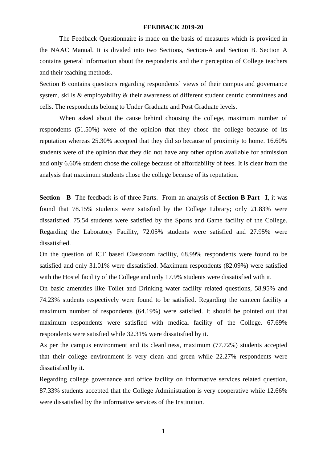#### **FEEDBACK 2019-20**

The Feedback Questionnaire is made on the basis of measures which is provided in the NAAC Manual. It is divided into two Sections, Section-A and Section B. Section A contains general information about the respondents and their perception of College teachers and their teaching methods.

Section B contains questions regarding respondents' views of their campus and governance system, skills & employability & their awareness of different student centric committees and cells. The respondents belong to Under Graduate and Post Graduate levels.

When asked about the cause behind choosing the college, maximum number of respondents (51.50%) were of the opinion that they chose the college because of its reputation whereas 25.30% accepted that they did so because of proximity to home. 16.60% students were of the opinion that they did not have any other option available for admission and only 6.60% student chose the college because of affordability of fees. It is clear from the analysis that maximum students chose the college because of its reputation.

**Section - B** The feedback is of three Parts. From an analysis of **Section B Part –I**, it was found that 78.15% students were satisfied by the College Library; only 21.83% were dissatisfied. 75.54 students were satisfied by the Sports and Game facility of the College. Regarding the Laboratory Facility, 72.05% students were satisfied and 27.95% were dissatisfied.

On the question of ICT based Classroom facility, 68.99% respondents were found to be satisfied and only 31.01% were dissatisfied. Maximum respondents (82.09%) were satisfied with the Hostel facility of the College and only 17.9% students were dissatisfied with it.

On basic amenities like Toilet and Drinking water facility related questions, 58.95% and 74.23% students respectively were found to be satisfied. Regarding the canteen facility a maximum number of respondents (64.19%) were satisfied. It should be pointed out that maximum respondents were satisfied with medical facility of the College. 67.69% respondents were satisfied while 32.31% were dissatisfied by it.

As per the campus environment and its cleanliness, maximum (77.72%) students accepted that their college environment is very clean and green while 22.27% respondents were dissatisfied by it.

Regarding college governance and office facility on informative services related question, 87.33% students accepted that the College Administration is very cooperative while 12.66% were dissatisfied by the informative services of the Institution.

1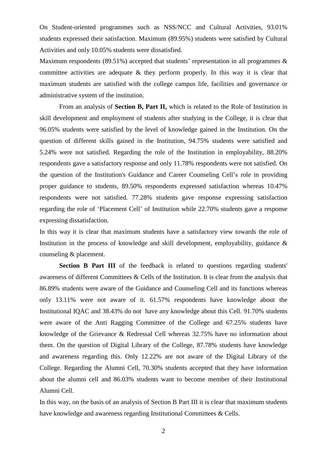On Student-oriented programmes such as NSS/NCC and Cultural Activities, 93.01% students expressed their satisfaction. Maximum (89.95%) students were satisfied by Cultural Activities and only 10.05% students were dissatisfied.

Maximum respondents (89.51%) accepted that students' representation in all programmes  $\&$ committee activities are adequate  $\&$  they perform properly. In this way it is clear that maximum students are satisfied with the college campus life, facilities and governance or administrative system of the institution.

From an analysis of **Section B, Part II,** which is related to the Role of Institution in skill development and employment of students after studying in the College, it is clear that 96.05% students were satisfied by the level of knowledge gained in the Institution. On the question of different skills gained in the Institution, 94.75% students were satisfied and 5.24% were not satisfied. Regarding the role of the Institution in employability, 88.20% respondents gave a satisfactory response and only 11.78% respondents were not satisfied. On the question of the Institution's Guidance and Career Counseling Cell's role in providing proper guidance to students, 89.50% respondents expressed satisfaction whereas 10.47% respondents were not satisfied. 77.28% students gave response expressing satisfaction regarding the role of 'Placement Cell' of Institution while 22.70% students gave a response expressing dissatisfaction.

In this way it is clear that maximum students have a satisfactory view towards the role of Institution in the process of knowledge and skill development, employability, guidance  $\&$ counseling & placement.

**Section B Part III** of the feedback is related to questions regarding students' awareness of different Committees & Cells of the Institution. It is clear from the analysis that 86.89% students were aware of the Guidance and Counseling Cell and its functions whereas only 13.11% were not aware of it. 61.57% respondents have knowledge about the Institutional IQAC and 38.43% do not have any knowledge about this Cell. 91.70% students were aware of the Anti Ragging Committee of the College and 67.25% students have knowledge of the Grievance & Redressal Cell whereas 32.75% have no information about them. On the question of Digital Library of the College, 87.78% students have knowledge and awareness regarding this. Only 12.22% are not aware of the Digital Library of the College. Regarding the Alumni Cell, 70.30% students accepted that they have information about the alumni cell and 86.03% students want to become member of their Institutional Alumni Cell.

In this way, on the basis of an analysis of Section B Part III it is clear that maximum students have knowledge and awareness regarding Institutional Committees & Cells.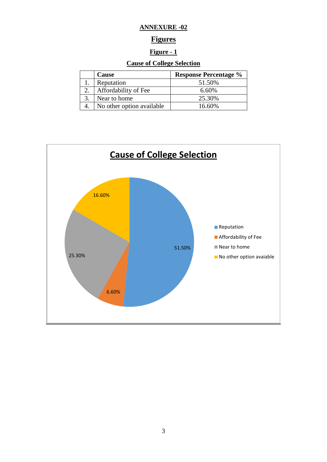#### **ANNEXURE -02**

#### **Figures**

#### **Figure - 1**

#### **Cause of College Selection**

| Cause                     | <b>Response Percentage %</b> |
|---------------------------|------------------------------|
| Reputation                | 51.50%                       |
| Affordability of Fee      | 6.60%                        |
| Near to home              | 25.30%                       |
| No other option available | 16.60%                       |

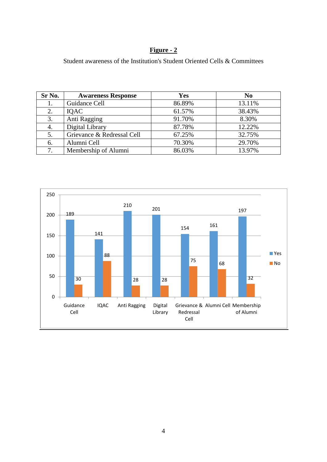### **Figure - 2**

Student awareness of the Institution's Student Oriented Cells & Committees

| Sr No. | <b>Awareness Response</b>  | <b>Yes</b> | N <sub>0</sub> |
|--------|----------------------------|------------|----------------|
|        | Guidance Cell              | 86.89%     | 13.11%         |
| 2.     | <b>IOAC</b>                | 61.57%     | 38.43%         |
| 3.     | Anti Ragging               | 91.70%     | 8.30%          |
| 4.     | Digital Library            | 87.78%     | 12.22%         |
| 5.     | Grievance & Redressal Cell | 67.25%     | 32.75%         |
| 6.     | Alumni Cell                | 70.30%     | 29.70%         |
| 7.     | Membership of Alumni       | 86.03%     | 13.97%         |

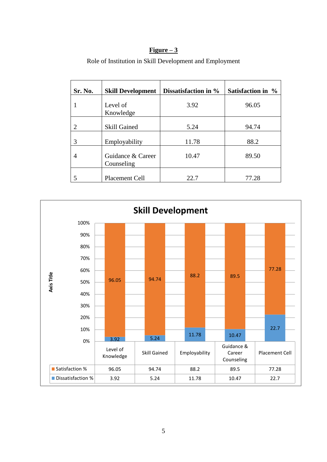#### **Figure – 3**

| Sr. No. | <b>Skill Development</b>        | Dissatisfaction in % | Satisfaction in % |
|---------|---------------------------------|----------------------|-------------------|
|         | Level of<br>Knowledge           | 3.92                 | 96.05             |
|         | <b>Skill Gained</b>             | 5.24                 | 94.74             |
| 3       | Employability                   | 11.78                | 88.2              |
| 4       | Guidance & Career<br>Counseling | 10.47                | 89.50             |
|         | Placement Cell                  | 22.7                 | 77.28             |

Role of Institution in Skill Development and Employment

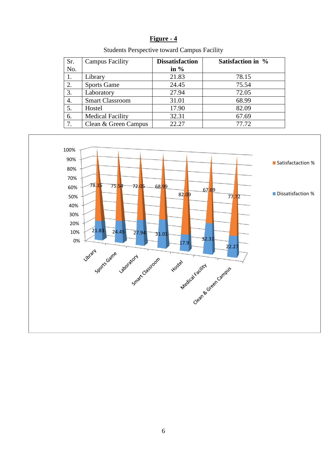| H٦<br>IØ1117 | e |  |
|--------------|---|--|
|              |   |  |

| Sr. | <b>Campus Facility</b>  | <b>Dissatisfaction</b> | Satisfaction in % |
|-----|-------------------------|------------------------|-------------------|
| No. |                         | in $%$                 |                   |
| 1.  | Library                 | 21.83                  | 78.15             |
| 2.  | <b>Sports Game</b>      | 24.45                  | 75.54             |
| 3.  | Laboratory              | 27.94                  | 72.05             |
| 4.  | <b>Smart Classroom</b>  | 31.01                  | 68.99             |
| 5.  | Hostel                  | 17.90                  | 82.09             |
| 6.  | <b>Medical Facility</b> | 32.31                  | 67.69             |
| 7.  | Clean & Green Campus    | 22.27                  | 77.72             |

Students Perspective toward Campus Facility

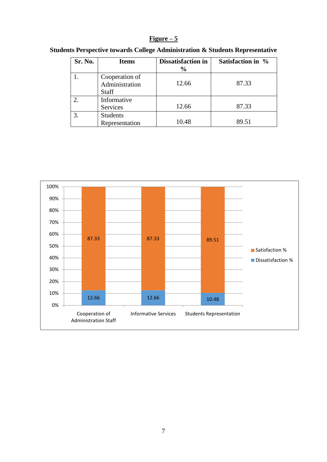#### **Figure – 5**

| Sr. No. | <b>Items</b>                                     | <b>Dissatisfaction in</b><br>$\frac{6}{9}$ | Satisfaction in % |
|---------|--------------------------------------------------|--------------------------------------------|-------------------|
|         | Cooperation of<br>Administration<br><b>Staff</b> | 12.66                                      | 87.33             |
|         | Informative<br>Services                          | 12.66                                      | 87.33             |
|         | <b>Students</b><br>Representation                | 10.48                                      | 89.51             |

#### **Students Perspective towards College Administration & Students Representative**

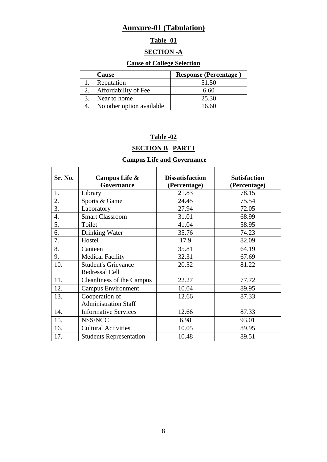## **Annxure-01 (Tabulation)**

## **Table -01**

#### **SECTION -A**

#### **Cause of College Selection**

| Cause                     | <b>Response (Percentage)</b> |
|---------------------------|------------------------------|
| Reputation                | 51.50                        |
| Affordability of Fee      | 6.60                         |
| Near to home              | 25.30                        |
| No other option available | 16 60                        |

### **Table -02**

## **SECTION B PART I**

#### **Campus Life and Governance**

| <b>Sr. No.</b> | Campus Life &                  | <b>Dissatisfaction</b> | <b>Satisfaction</b> |
|----------------|--------------------------------|------------------------|---------------------|
|                | Governance                     | (Percentage)           | (Percentage)        |
| 1.             | Library                        | 21.83                  | 78.15               |
| 2.             | Sports & Game                  | 24.45                  | 75.54               |
| 3.             | Laboratory                     | 27.94                  | 72.05               |
| 4.             | <b>Smart Classroom</b>         | 31.01                  | 68.99               |
| 5.             | Toilet                         | 41.04                  | 58.95               |
| 6.             | Drinking Water                 | 35.76                  | 74.23               |
| 7.             | Hostel                         | 17.9                   | 82.09               |
| 8.             | Canteen                        | 35.81                  | 64.19               |
| 9.             | <b>Medical Facility</b>        | 32.31                  | 67.69               |
| 10.            | <b>Student's Grievance</b>     | 20.52                  | 81.22               |
|                | Redressal Cell                 |                        |                     |
| 11.            | Cleanliness of the Campus      | 22.27                  | 77.72               |
| 12.            | <b>Campus Environment</b>      | 10.04                  | 89.95               |
| 13.            | Cooperation of                 | 12.66                  | 87.33               |
|                | <b>Administration Staff</b>    |                        |                     |
| 14.            | <b>Informative Services</b>    | 12.66                  | 87.33               |
| 15.            | NSS/NCC                        | 6.98                   | 93.01               |
| 16.            | <b>Cultural Activities</b>     | 10.05                  | 89.95               |
| 17.            | <b>Students Representation</b> | 10.48                  | 89.51               |